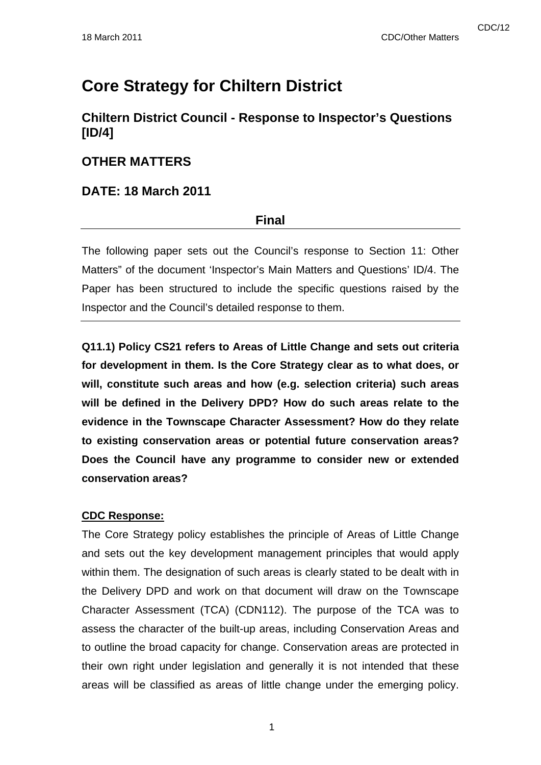# **Core Strategy for Chiltern District**

# **Chiltern District Council - Response to Inspector's Questions [ID/4]**

## **OTHER MATTERS**

## **DATE: 18 March 2011**

## **Final**

The following paper sets out the Council's response to Section 11: Other Matters" of the document 'Inspector's Main Matters and Questions' ID/4. The Paper has been structured to include the specific questions raised by the Inspector and the Council's detailed response to them.

**Q11.1) Policy CS21 refers to Areas of Little Change and sets out criteria for development in them. Is the Core Strategy clear as to what does, or will, constitute such areas and how (e.g. selection criteria) such areas will be defined in the Delivery DPD? How do such areas relate to the evidence in the Townscape Character Assessment? How do they relate to existing conservation areas or potential future conservation areas? Does the Council have any programme to consider new or extended conservation areas?** 

## **CDC Response:**

The Core Strategy policy establishes the principle of Areas of Little Change and sets out the key development management principles that would apply within them. The designation of such areas is clearly stated to be dealt with in the Delivery DPD and work on that document will draw on the Townscape Character Assessment (TCA) (CDN112). The purpose of the TCA was to assess the character of the built-up areas, including Conservation Areas and to outline the broad capacity for change. Conservation areas are protected in their own right under legislation and generally it is not intended that these areas will be classified as areas of little change under the emerging policy.

1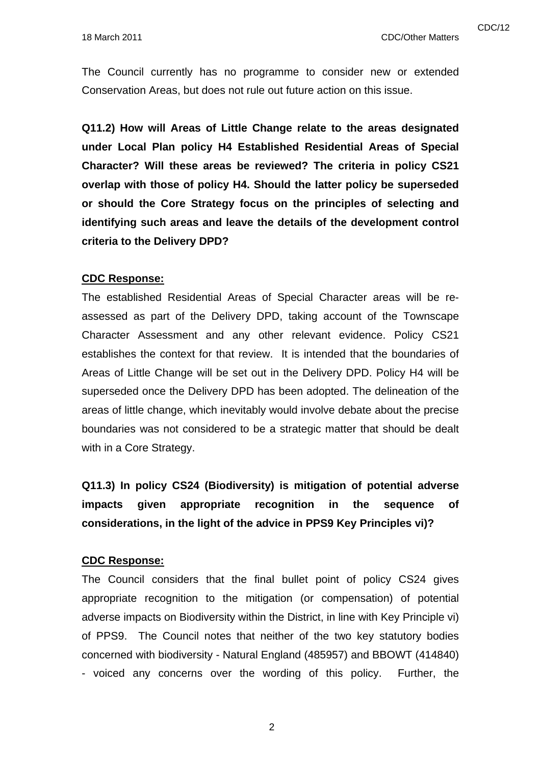The Council currently has no programme to consider new or extended Conservation Areas, but does not rule out future action on this issue.

**Q11.2) How will Areas of Little Change relate to the areas designated under Local Plan policy H4 Established Residential Areas of Special Character? Will these areas be reviewed? The criteria in policy CS21 overlap with those of policy H4. Should the latter policy be superseded or should the Core Strategy focus on the principles of selecting and identifying such areas and leave the details of the development control criteria to the Delivery DPD?** 

#### **CDC Response:**

The established Residential Areas of Special Character areas will be reassessed as part of the Delivery DPD, taking account of the Townscape Character Assessment and any other relevant evidence. Policy CS21 establishes the context for that review. It is intended that the boundaries of Areas of Little Change will be set out in the Delivery DPD. Policy H4 will be superseded once the Delivery DPD has been adopted. The delineation of the areas of little change, which inevitably would involve debate about the precise boundaries was not considered to be a strategic matter that should be dealt with in a Core Strategy.

**Q11.3) In policy CS24 (Biodiversity) is mitigation of potential adverse impacts given appropriate recognition in the sequence of considerations, in the light of the advice in PPS9 Key Principles vi)?** 

#### **CDC Response:**

The Council considers that the final bullet point of policy CS24 gives appropriate recognition to the mitigation (or compensation) of potential adverse impacts on Biodiversity within the District, in line with Key Principle vi) of PPS9. The Council notes that neither of the two key statutory bodies concerned with biodiversity - Natural England (485957) and BBOWT (414840) - voiced any concerns over the wording of this policy. Further, the

2